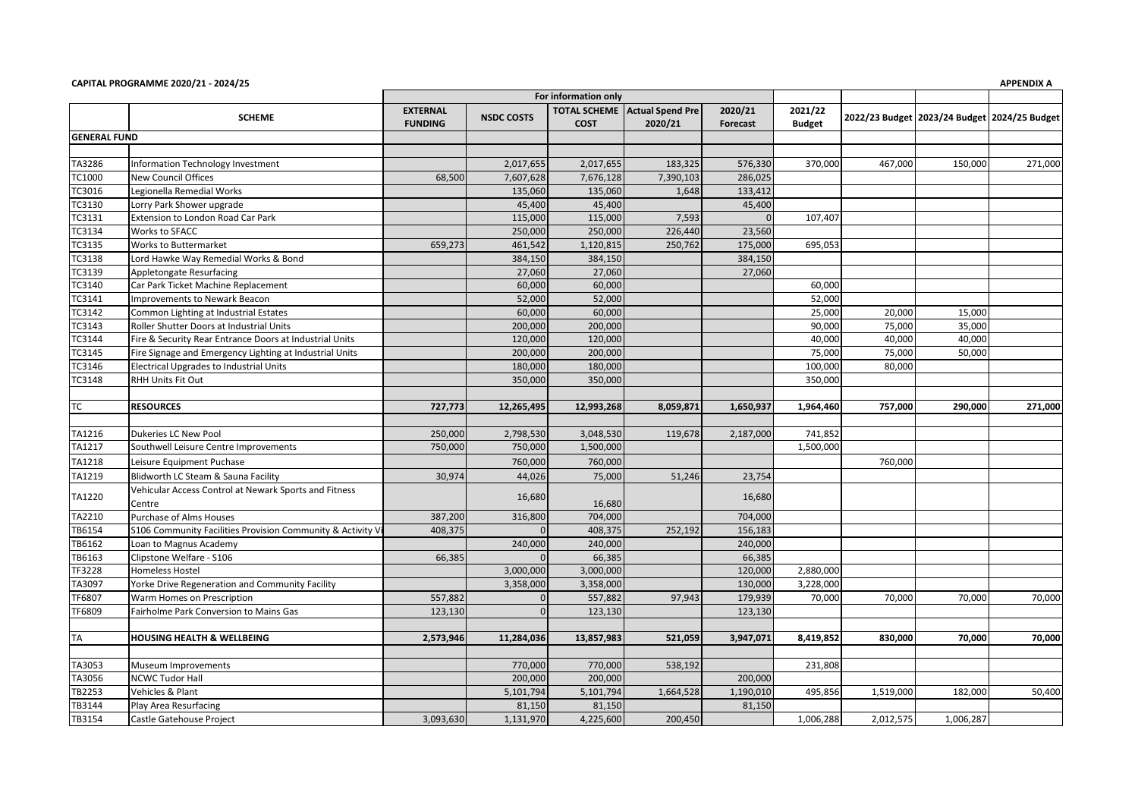|                     |                                                            | For information only              |                   |             |                                                 |                     |                          |           |                                                  |         |
|---------------------|------------------------------------------------------------|-----------------------------------|-------------------|-------------|-------------------------------------------------|---------------------|--------------------------|-----------|--------------------------------------------------|---------|
|                     | <b>SCHEME</b>                                              | <b>EXTERNAL</b><br><b>FUNDING</b> | <b>NSDC COSTS</b> | <b>COST</b> | <b>TOTAL SCHEME</b> Actual Spend Pre<br>2020/21 | 2020/21<br>Forecast | 2021/22<br><b>Budget</b> |           | 2022/23 Budget   2023/24 Budget   2024/25 Budget |         |
| <b>GENERAL FUND</b> |                                                            |                                   |                   |             |                                                 |                     |                          |           |                                                  |         |
|                     |                                                            |                                   |                   |             |                                                 |                     |                          |           |                                                  |         |
| TA3286              | Information Technology Investment                          |                                   | 2,017,655         | 2,017,655   | 183,325                                         | 576,330             | 370,000                  | 467,000   | 150,000                                          | 271,000 |
| TC1000              | <b>New Council Offices</b>                                 | 68,500                            | 7,607,628         | 7,676,128   | 7,390,103                                       | 286,025             |                          |           |                                                  |         |
| TC3016              | Legionella Remedial Works                                  |                                   | 135,060           | 135,060     | 1,648                                           | 133,412             |                          |           |                                                  |         |
| TC3130              | Lorry Park Shower upgrade                                  |                                   | 45,400            | 45,400      |                                                 | 45,400              |                          |           |                                                  |         |
| TC3131              | Extension to London Road Car Park                          |                                   | 115,000           | 115,000     | 7,593                                           | $\Omega$            | 107.407                  |           |                                                  |         |
| TC3134              | Works to SFACC                                             |                                   | 250,000           | 250,000     | 226,440                                         | 23,560              |                          |           |                                                  |         |
| TC3135              | Works to Buttermarket                                      | 659,273                           | 461,542           | 1,120,815   | 250,762                                         | 175,000             | 695,053                  |           |                                                  |         |
| TC3138              | Lord Hawke Way Remedial Works & Bond                       |                                   | 384,150           | 384,150     |                                                 | 384,150             |                          |           |                                                  |         |
| TC3139              | Appletongate Resurfacing                                   |                                   | 27,060            | 27,060      |                                                 | 27,060              |                          |           |                                                  |         |
| TC3140              | Car Park Ticket Machine Replacement                        |                                   | 60,000            | 60,000      |                                                 |                     | 60,000                   |           |                                                  |         |
| TC3141              | Improvements to Newark Beacon                              |                                   | 52,000            | 52,000      |                                                 |                     | 52,000                   |           |                                                  |         |
| TC3142              | Common Lighting at Industrial Estates                      |                                   | 60,000            | 60,000      |                                                 |                     | 25,000                   | 20,000    | 15,000                                           |         |
| TC3143              | Roller Shutter Doors at Industrial Units                   |                                   | 200,000           | 200,000     |                                                 |                     | 90,000                   | 75,000    | 35,000                                           |         |
| TC3144              | Fire & Security Rear Entrance Doors at Industrial Units    |                                   | 120,000           | 120,000     |                                                 |                     | 40,000                   | 40,000    | 40,000                                           |         |
| TC3145              | Fire Signage and Emergency Lighting at Industrial Units    |                                   | 200,000           | 200,000     |                                                 |                     | 75,000                   | 75,000    | 50,000                                           |         |
| TC3146              | <b>Electrical Upgrades to Industrial Units</b>             |                                   | 180,000           | 180,000     |                                                 |                     | 100,000                  | 80,000    |                                                  |         |
| TC3148              | <b>RHH Units Fit Out</b>                                   |                                   | 350,000           | 350,000     |                                                 |                     | 350,000                  |           |                                                  |         |
|                     |                                                            |                                   |                   |             |                                                 |                     |                          |           |                                                  |         |
| ТC                  | <b>RESOURCES</b>                                           | 727,773                           | 12,265,495        | 12,993,268  | 8,059,871                                       | 1,650,937           | 1,964,460                | 757,000   | 290,000                                          | 271,000 |
|                     |                                                            |                                   |                   |             |                                                 |                     |                          |           |                                                  |         |
| TA1216              | Dukeries LC New Pool                                       | 250,000                           | 2,798,530         | 3,048,530   | 119,678                                         | 2,187,000           | 741,852                  |           |                                                  |         |
| TA1217              | Southwell Leisure Centre Improvements                      | 750,000                           | 750,000           | 1,500,000   |                                                 |                     | 1,500,000                |           |                                                  |         |
| TA1218              | Leisure Equipment Puchase                                  |                                   | 760,000           | 760,000     |                                                 |                     |                          | 760,000   |                                                  |         |
| TA1219              | Blidworth LC Steam & Sauna Facility                        | 30,974                            | 44,026            | 75,000      | 51,246                                          | 23,754              |                          |           |                                                  |         |
| TA1220              | Vehicular Access Control at Newark Sports and Fitness      |                                   | 16,680            |             |                                                 | 16,680              |                          |           |                                                  |         |
|                     | Centre                                                     |                                   |                   | 16,680      |                                                 |                     |                          |           |                                                  |         |
| TA2210              | <b>Purchase of Alms Houses</b>                             | 387,200                           | 316,800           | 704,000     |                                                 | 704,000             |                          |           |                                                  |         |
| TB6154              | S106 Community Facilities Provision Community & Activity V | 408,375                           |                   | 408,375     | 252,192                                         | 156,183             |                          |           |                                                  |         |
| TB6162              | Loan to Magnus Academy                                     |                                   | 240,000           | 240,000     |                                                 | 240,000             |                          |           |                                                  |         |
| TB6163              | Clipstone Welfare - S106                                   | 66,385                            |                   | 66,385      |                                                 | 66,385              |                          |           |                                                  |         |
| TF3228              | Homeless Hostel                                            |                                   | 3,000,000         | 3,000,000   |                                                 | 120,000             | 2,880,000                |           |                                                  |         |
| TA3097              | Yorke Drive Regeneration and Community Facility            |                                   | 3,358,000         | 3,358,000   |                                                 | 130,000             | 3,228,000                |           |                                                  |         |
| TF6807              | Warm Homes on Prescription                                 | 557,882                           | $\Omega$          | 557,882     | 97,943                                          | 179,939             | 70,000                   | 70,000    | 70,000                                           | 70,000  |
| TF6809              | Fairholme Park Conversion to Mains Gas                     | 123,130                           | $\Omega$          | 123,130     |                                                 | 123,130             |                          |           |                                                  |         |
| TA                  | <b>HOUSING HEALTH &amp; WELLBEING</b>                      | 2,573,946                         | 11,284,036        | 13,857,983  | 521,059                                         | 3,947,071           | 8,419,852                | 830.000   | 70.000                                           | 70,000  |
|                     |                                                            |                                   |                   |             |                                                 |                     |                          |           |                                                  |         |
| TA3053              | Museum Improvements                                        |                                   | 770,000           | 770,000     | 538,192                                         |                     | 231,808                  |           |                                                  |         |
| TA3056              | <b>NCWC Tudor Hall</b>                                     |                                   | 200,000           | 200,000     |                                                 | 200,000             |                          |           |                                                  |         |
| TB2253              | Vehicles & Plant                                           |                                   | 5,101,794         | 5,101,794   | 1,664,528                                       | 1,190,010           | 495,856                  | 1,519,000 | 182,000                                          | 50,400  |
| TB3144              | Play Area Resurfacing                                      |                                   | 81,150            | 81,150      |                                                 | 81,150              |                          |           |                                                  |         |
| TB3154              | Castle Gatehouse Project                                   | 3,093,630                         | 1,131,970         | 4,225,600   | 200,450                                         |                     | 1,006,288                | 2,012,575 | 1,006,287                                        |         |
|                     |                                                            |                                   |                   |             |                                                 |                     |                          |           |                                                  |         |

**CAPITAL PROGRAMME 2020/21 - 2024/25 APPENDIX A**